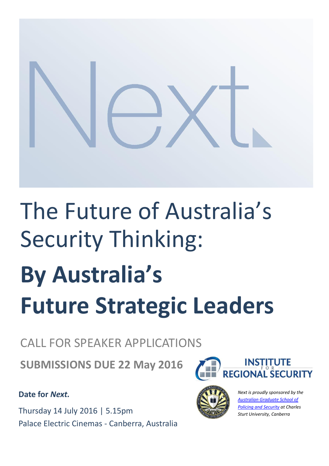

# The Future of Australia's Security Thinking: **By Australia's Future Strategic Leaders**

## CALL FOR SPEAKER APPLICATIONS

**SUBMISSIONS DUE 22 May 2016**

### **Date for** *Next.*

Thursday 14 July 2016 | 5.15pm Palace Electric Cinemas - Canberra, Australia





*Next is proudly sponsored by the [Australian Graduate School of](http://www.csu.edu.au/courses/police-security-emergency-management#.VEd-btgcQbw)  [Policing and Security](http://www.csu.edu.au/courses/police-security-emergency-management#.VEd-btgcQbw) at Charles Sturt University, Canberra*